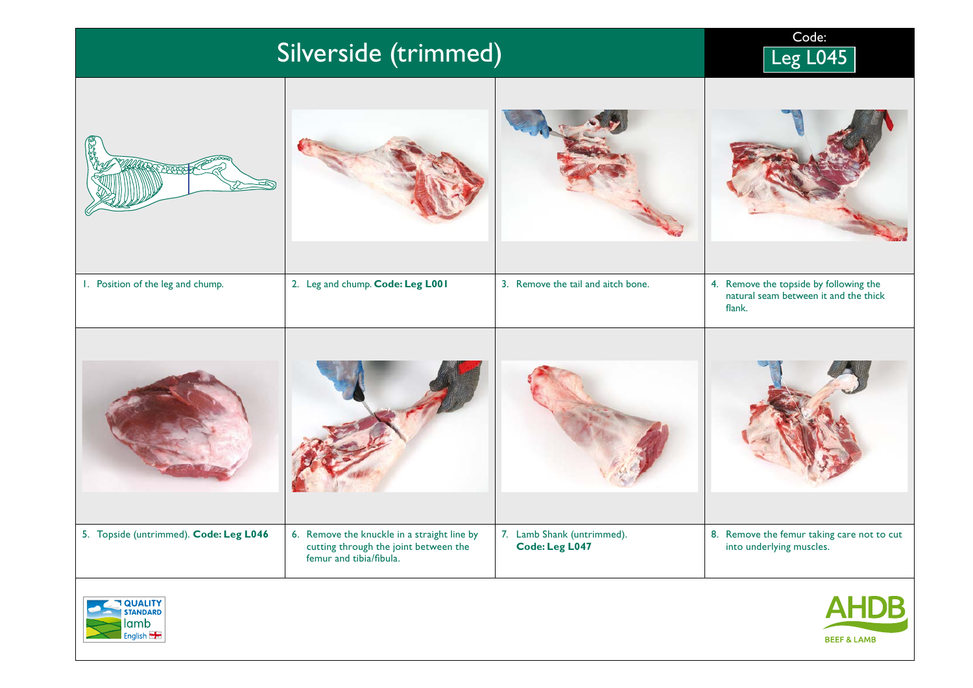| Silverside (trimmed)                   | Code:<br>Leg L045                                                                                               |                                                     |                                                                                           |  |  |
|----------------------------------------|-----------------------------------------------------------------------------------------------------------------|-----------------------------------------------------|-------------------------------------------------------------------------------------------|--|--|
|                                        |                                                                                                                 |                                                     |                                                                                           |  |  |
| 1. Position of the leg and chump.      | 2. Leg and chump. Code: Leg L001                                                                                | 3. Remove the tail and aitch bone.                  | 4. Remove the topside by following the<br>natural seam between it and the thick<br>flank. |  |  |
|                                        |                                                                                                                 |                                                     |                                                                                           |  |  |
| 5. Topside (untrimmed). Code: Leg L046 | 6. Remove the knuckle in a straight line by<br>cutting through the joint between the<br>femur and tibia/fibula. | 7. Lamb Shank (untrimmed).<br><b>Code: Leg L047</b> | 8. Remove the femur taking care not to cut<br>into underlying muscles.                    |  |  |
|                                        |                                                                                                                 |                                                     |                                                                                           |  |  |



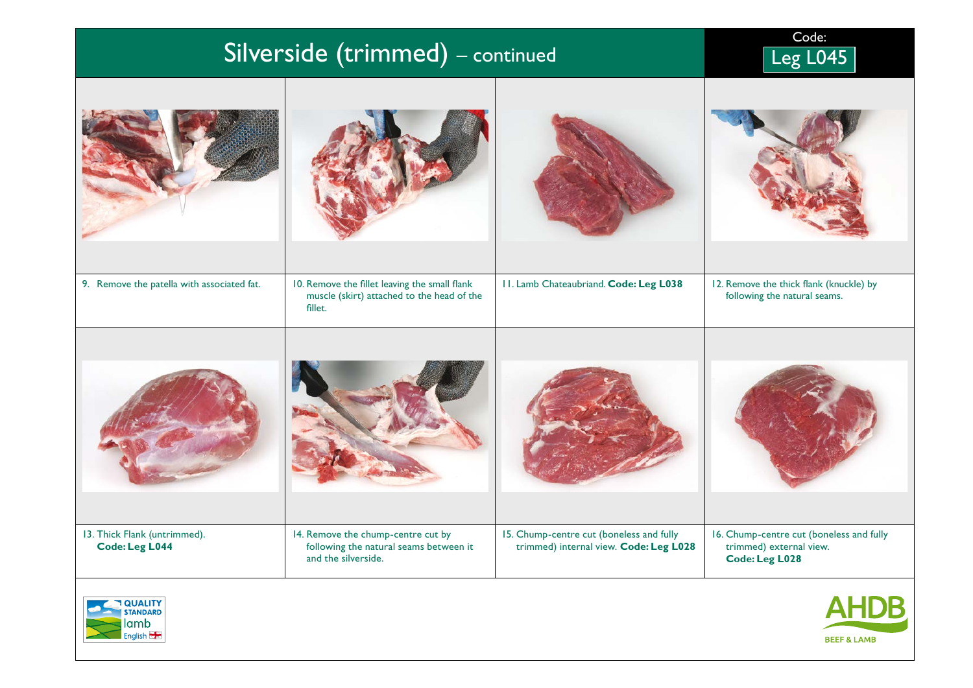| Silverside (trimmed) - continued                      |                                                                                                        |                                                                                    | Code:<br>Leg L045                                                                            |
|-------------------------------------------------------|--------------------------------------------------------------------------------------------------------|------------------------------------------------------------------------------------|----------------------------------------------------------------------------------------------|
|                                                       |                                                                                                        |                                                                                    |                                                                                              |
| 9. Remove the patella with associated fat.            | 10. Remove the fillet leaving the small flank<br>muscle (skirt) attached to the head of the<br>fillet. | 11. Lamb Chateaubriand. Code: Leg L038                                             | 12. Remove the thick flank (knuckle) by<br>following the natural seams.                      |
|                                                       |                                                                                                        |                                                                                    |                                                                                              |
| 13. Thick Flank (untrimmed).<br><b>Code: Leg L044</b> | 14. Remove the chump-centre cut by<br>following the natural seams between it<br>and the silverside.    | 15. Chump-centre cut (boneless and fully<br>trimmed) internal view. Code: Leg L028 | 16. Chump-centre cut (boneless and fully<br>trimmed) external view.<br><b>Code: Leg L028</b> |
|                                                       |                                                                                                        |                                                                                    |                                                                                              |